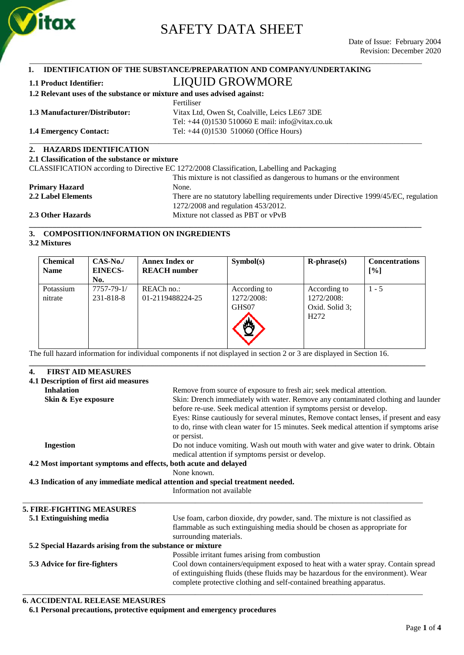

\_\_\_\_\_\_\_\_\_\_\_\_\_\_\_\_\_\_\_\_\_\_\_\_\_\_\_\_\_\_\_\_\_\_\_\_\_\_\_\_\_\_\_\_\_\_\_\_\_\_\_\_\_\_\_\_\_\_\_\_\_\_\_\_\_\_\_\_\_\_\_\_\_\_\_\_\_\_\_\_\_\_\_\_\_\_\_\_\_\_\_\_\_\_\_\_\_\_\_\_

#### **1. IDENTIFICATION OF THE SUBSTANCE/PREPARATION AND COMPANY/UNDERTAKING 1.1 Product Identifier:** LIQUID GROWMORE

| -1.1 Product Identifier:                                                                   | LIVUID UNU MMUND                                   |  |  |  |  |
|--------------------------------------------------------------------------------------------|----------------------------------------------------|--|--|--|--|
| 1.2 Relevant uses of the substance or mixture and uses advised against:                    |                                                    |  |  |  |  |
|                                                                                            | Fertiliser                                         |  |  |  |  |
| 1.3 Manufacturer/Distributor:                                                              | Vitax Ltd, Owen St, Coalville, Leics LE67 3DE      |  |  |  |  |
|                                                                                            | Tel: $+44$ (0)1530 510060 E mail: info@vitax.co.uk |  |  |  |  |
| <b>1.4 Emergency Contact:</b>                                                              | Tel: $+44$ (0)1530 510060 (Office Hours)           |  |  |  |  |
| 2. HAZARDS IDENTIFICATION                                                                  |                                                    |  |  |  |  |
| 2.1 Classification of the substance or mixture                                             |                                                    |  |  |  |  |
| CLASSIFICATION according to Directive EC 1272/2008 Classification, Labelling and Packaging |                                                    |  |  |  |  |
|                                                                                            |                                                    |  |  |  |  |

| 2.3 Other Hazards     | Mixture not classed as PBT or vPvB                                                   |
|-----------------------|--------------------------------------------------------------------------------------|
|                       | 1272/2008 and regulation 453/2012.                                                   |
| 2.2 Label Elements    | There are no statutory labelling requirements under Directive 1999/45/EC, regulation |
| <b>Primary Hazard</b> | None.                                                                                |
|                       | This mixture is not classified as dangerous to humans or the environment             |

### **3. COMPOSITION/INFORMATION ON INGREDIENTS**

**3.2 Mixtures**

| <b>Chemical</b><br><b>Name</b> | $CAS-No.$<br><b>EINECS-</b><br>No. | <b>Annex Index or</b><br><b>REACH</b> number | Symbol(s)                           | $R$ -phrase $(s)$                                                | <b>Concentrations</b><br>[%] |
|--------------------------------|------------------------------------|----------------------------------------------|-------------------------------------|------------------------------------------------------------------|------------------------------|
| Potassium<br>nitrate           | 7757-79-1/<br>231-818-8            | REACh no.:<br>01-2119488224-25               | According to<br>1272/2008:<br>GHS07 | According to<br>1272/2008:<br>Oxid. Solid 3;<br>H <sub>272</sub> | $1 - 5$                      |

**\_\_\_\_\_\_\_\_\_\_\_\_\_\_\_\_\_\_\_\_\_\_\_\_\_\_\_\_\_\_\_\_\_\_\_\_\_\_\_\_\_\_\_\_\_\_\_\_\_\_\_\_\_\_\_\_\_\_\_\_\_\_\_\_\_\_\_\_\_\_\_\_\_\_\_\_\_\_\_\_\_\_\_\_\_\_\_\_\_\_\_\_\_\_\_\_\_\_\_\_\_**

The full hazard information for individual components if not displayed in section 2 or 3 are displayed in Section 16.

### **4. FIRST AID MEASURES 4.1 Description of first aid measures Inhalation** Remove from source of exposure to fresh air; seek medical attention. **Skin & Eye exposure** Skin: Drench immediately with water. Remove any contaminated clothing and launder before re-use. Seek medical attention if symptoms persist or develop. Eyes: Rinse cautiously for several minutes, Remove contact lenses, if present and easy to do, rinse with clean water for 15 minutes. Seek medical attention if symptoms arise or persist. **Ingestion** Do not induce vomiting. Wash out mouth with water and give water to drink. Obtain medical attention if symptoms persist or develop. **4.2 Most important symptoms and effects, both acute and delayed** None known. **4.3 Indication of any immediate medical attention and special treatment needed.** Information not available \_\_\_\_\_\_\_\_\_\_\_\_\_\_\_\_\_\_\_\_\_\_\_\_\_\_\_\_\_\_\_\_\_\_\_\_\_\_\_\_\_\_\_\_\_\_\_\_\_\_\_\_\_\_\_\_\_\_\_\_\_\_\_\_\_\_\_\_\_\_\_\_\_\_\_\_\_\_\_\_\_\_\_\_\_\_\_\_\_\_\_\_\_\_\_\_\_\_\_\_\_\_ **5. FIRE-FIGHTING MEASURES 5.1 Extinguishing media** Use foam, carbon dioxide, dry powder, sand. The mixture is not classified as flammable as such extinguishing media should be chosen as appropriate for surrounding materials. **5.2 Special Hazards arising from the substance or mixture** Possible irritant fumes arising from combustion **5.3 Advice for fire-fighters** Cool down containers/equipment exposed to heat with a water spray. Contain spread of extinguishing fluids (these fluids may be hazardous for the environment). Wear complete protective clothing and self-contained breathing apparatus. \_\_\_\_\_\_\_\_\_\_\_\_\_\_\_\_\_\_\_\_\_\_\_\_\_\_\_\_\_\_\_\_\_\_\_\_\_\_\_\_\_\_\_\_\_\_\_\_\_\_\_\_\_\_\_\_\_\_\_\_\_\_\_\_\_\_\_\_\_\_\_\_\_\_\_\_\_\_\_\_\_\_\_\_\_\_\_\_\_\_\_\_\_\_\_\_\_\_\_\_\_\_

### **6. ACCIDENTAL RELEASE MEASURES**

**6.1 Personal precautions, protective equipment and emergency procedures**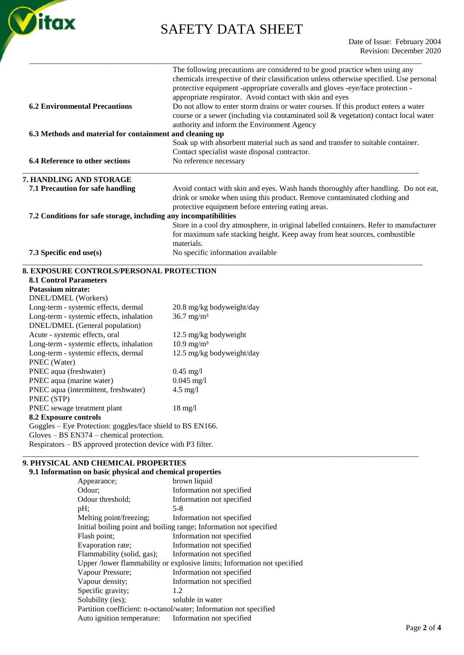

| <b>6.2 Environmental Precautions</b>                                                                                              | The following precautions are considered to be good practice when using any<br>chemicals irrespective of their classification unless otherwise specified. Use personal<br>protective equipment -appropriate coveralls and gloves -eye/face protection -<br>appropriate respirator. Avoid contact with skin and eyes<br>Do not allow to enter storm drains or water courses. If this product enters a water<br>course or a sewer (including via contaminated soil & vegetation) contact local water |
|-----------------------------------------------------------------------------------------------------------------------------------|----------------------------------------------------------------------------------------------------------------------------------------------------------------------------------------------------------------------------------------------------------------------------------------------------------------------------------------------------------------------------------------------------------------------------------------------------------------------------------------------------|
|                                                                                                                                   | authority and inform the Environment Agency                                                                                                                                                                                                                                                                                                                                                                                                                                                        |
| 6.3 Methods and material for containment and cleaning up                                                                          | Soak up with absorbent material such as sand and transfer to suitable container.                                                                                                                                                                                                                                                                                                                                                                                                                   |
|                                                                                                                                   | Contact specialist waste disposal contractor.                                                                                                                                                                                                                                                                                                                                                                                                                                                      |
| 6.4 Reference to other sections                                                                                                   | No reference necessary                                                                                                                                                                                                                                                                                                                                                                                                                                                                             |
| 7. HANDLING AND STORAGE                                                                                                           |                                                                                                                                                                                                                                                                                                                                                                                                                                                                                                    |
| 7.1 Precaution for safe handling                                                                                                  | Avoid contact with skin and eyes. Wash hands thoroughly after handling. Do not eat,<br>drink or smoke when using this product. Remove contaminated clothing and<br>protective equipment before entering eating areas.                                                                                                                                                                                                                                                                              |
| 7.2 Conditions for safe storage, including any incompatibilities                                                                  |                                                                                                                                                                                                                                                                                                                                                                                                                                                                                                    |
|                                                                                                                                   | Store in a cool dry atmosphere, in original labelled containers. Refer to manufacturer<br>for maximum safe stacking height. Keep away from heat sources, combustible<br>materials.                                                                                                                                                                                                                                                                                                                 |
| 7.3 Specific end use(s)                                                                                                           | No specific information available                                                                                                                                                                                                                                                                                                                                                                                                                                                                  |
| <b>8. EXPOSURE CONTROLS/PERSONAL PROTECTION</b>                                                                                   |                                                                                                                                                                                                                                                                                                                                                                                                                                                                                                    |
| <b>8.1 Control Parameters</b>                                                                                                     |                                                                                                                                                                                                                                                                                                                                                                                                                                                                                                    |
| <b>Potassium nitrate:</b>                                                                                                         |                                                                                                                                                                                                                                                                                                                                                                                                                                                                                                    |
| DNEL/DMEL (Workers)                                                                                                               |                                                                                                                                                                                                                                                                                                                                                                                                                                                                                                    |
| Long-term - systemic effects, dermal                                                                                              | 20.8 mg/kg bodyweight/day                                                                                                                                                                                                                                                                                                                                                                                                                                                                          |
| Long-term - systemic effects, inhalation<br>DNEL/DMEL (General population)                                                        | $36.7 \text{ mg/m}^3$                                                                                                                                                                                                                                                                                                                                                                                                                                                                              |
| Acute - systemic effects, oral                                                                                                    | 12.5 mg/kg bodyweight                                                                                                                                                                                                                                                                                                                                                                                                                                                                              |
| Long-term - systemic effects, inhalation                                                                                          | $10.9 \text{ mg/m}^3$                                                                                                                                                                                                                                                                                                                                                                                                                                                                              |
| Long-term - systemic effects, dermal<br>PNEC (Water)                                                                              | 12.5 mg/kg bodyweight/day                                                                                                                                                                                                                                                                                                                                                                                                                                                                          |
| PNEC aqua (freshwater)                                                                                                            | $0.45$ mg/l                                                                                                                                                                                                                                                                                                                                                                                                                                                                                        |
| PNEC aqua (marine water)                                                                                                          | $0.045$ mg/l                                                                                                                                                                                                                                                                                                                                                                                                                                                                                       |
| PNEC aqua (intermittent, freshwater)<br>PNEC (STP)                                                                                | $4.5$ mg/l                                                                                                                                                                                                                                                                                                                                                                                                                                                                                         |
|                                                                                                                                   | $18$ mg/l                                                                                                                                                                                                                                                                                                                                                                                                                                                                                          |
|                                                                                                                                   |                                                                                                                                                                                                                                                                                                                                                                                                                                                                                                    |
| PNEC sewage treatment plant                                                                                                       |                                                                                                                                                                                                                                                                                                                                                                                                                                                                                                    |
| 8.2 Exposure controls<br>Goggles - Eye Protection: goggles/face shield to BS EN166.<br>$Gloves - BS EN374 - chemical protection.$ |                                                                                                                                                                                                                                                                                                                                                                                                                                                                                                    |

### **9.1 Information on basic physical and chemical properties**

| on on basic physical and chemical properties |                                                                          |
|----------------------------------------------|--------------------------------------------------------------------------|
| Appearance;                                  | brown liquid                                                             |
| Odour:                                       | Information not specified                                                |
| Odour threshold;                             | Information not specified                                                |
| pH;                                          | $5 - 8$                                                                  |
| Melting point/freezing;                      | Information not specified                                                |
|                                              | Initial boiling point and boiling range; Information not specified       |
| Flash point;                                 | Information not specified                                                |
| Evaporation rate;                            | Information not specified                                                |
| Flammability (solid, gas);                   | Information not specified                                                |
|                                              | Upper /lower flammability or explosive limits; Information not specified |
| Vapour Pressure;                             | Information not specified                                                |
| Vapour density;                              | Information not specified                                                |
| Specific gravity;                            | 1.2                                                                      |
| Solubility (ies);                            | soluble in water                                                         |
|                                              | Partition coefficient: n-octanol/water; Information not specified        |
| Auto ignition temperature:                   | Information not specified                                                |
|                                              |                                                                          |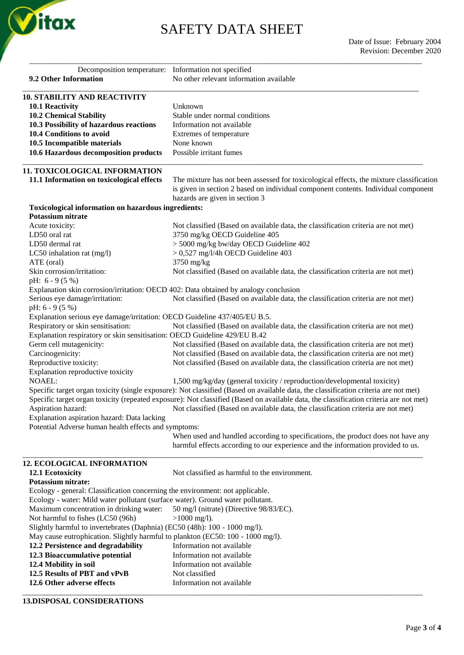

\_\_\_\_\_\_\_\_\_\_\_\_\_\_\_\_\_\_\_\_\_\_\_\_\_\_\_\_\_\_\_\_\_\_\_\_\_\_\_\_\_\_\_\_\_\_\_\_\_\_\_\_\_\_\_\_\_\_\_\_\_\_\_\_\_\_\_\_\_\_\_\_\_\_\_\_\_\_\_\_\_\_\_\_\_\_\_\_\_\_\_\_\_\_\_\_\_\_\_\_

| Decomposition temperature: Information not specified                                                                                                            |                                                                                                                                                                                                                 |
|-----------------------------------------------------------------------------------------------------------------------------------------------------------------|-----------------------------------------------------------------------------------------------------------------------------------------------------------------------------------------------------------------|
| 9.2 Other Information                                                                                                                                           | No other relevant information available                                                                                                                                                                         |
|                                                                                                                                                                 |                                                                                                                                                                                                                 |
| <b>10. STABILITY AND REACTIVITY</b>                                                                                                                             |                                                                                                                                                                                                                 |
| 10.1 Reactivity                                                                                                                                                 | Unknown                                                                                                                                                                                                         |
| <b>10.2 Chemical Stability</b>                                                                                                                                  | Stable under normal conditions                                                                                                                                                                                  |
| 10.3 Possibility of hazardous reactions<br>10.4 Conditions to avoid                                                                                             | Information not available                                                                                                                                                                                       |
|                                                                                                                                                                 | Extremes of temperature<br>None known                                                                                                                                                                           |
| 10.5 Incompatible materials<br>10.6 Hazardous decomposition products                                                                                            | Possible irritant fumes                                                                                                                                                                                         |
|                                                                                                                                                                 |                                                                                                                                                                                                                 |
| 11. TOXICOLOGICAL INFORMATION                                                                                                                                   |                                                                                                                                                                                                                 |
| 11.1 Information on toxicological effects                                                                                                                       | The mixture has not been assessed for toxicological effects, the mixture classification                                                                                                                         |
|                                                                                                                                                                 | is given in section 2 based on individual component contents. Individual component                                                                                                                              |
|                                                                                                                                                                 | hazards are given in section 3                                                                                                                                                                                  |
| Toxicological information on hazardous ingredients:                                                                                                             |                                                                                                                                                                                                                 |
| Potassium nitrate                                                                                                                                               |                                                                                                                                                                                                                 |
| Acute toxicity:                                                                                                                                                 | Not classified (Based on available data, the classification criteria are not met)                                                                                                                               |
| LD50 oral rat                                                                                                                                                   | 3750 mg/kg OECD Guideline 405                                                                                                                                                                                   |
| LD50 dermal rat                                                                                                                                                 | > 5000 mg/kg bw/day OECD Guideline 402                                                                                                                                                                          |
| LC50 inhalation rat (mg/l)                                                                                                                                      | $> 0,527$ mg/l/4h OECD Guideline 403                                                                                                                                                                            |
| ATE (oral)<br>Skin corrosion/irritation:                                                                                                                        | 3750 mg/kg<br>Not classified (Based on available data, the classification criteria are not met)                                                                                                                 |
| pH: $6 - 9(5%)$                                                                                                                                                 |                                                                                                                                                                                                                 |
| Explanation skin corrosion/irritation: OECD 402: Data obtained by analogy conclusion                                                                            |                                                                                                                                                                                                                 |
| Serious eye damage/irritation:                                                                                                                                  | Not classified (Based on available data, the classification criteria are not met)                                                                                                                               |
| pH: $6 - 9(5%)$                                                                                                                                                 |                                                                                                                                                                                                                 |
| Explanation serious eye damage/irritation: OECD Guideline 437/405/EU B.5.                                                                                       |                                                                                                                                                                                                                 |
| Respiratory or skin sensitisation:                                                                                                                              | Not classified (Based on available data, the classification criteria are not met)                                                                                                                               |
| Explanation respiratory or skin sensitisation: OECD Guideline 429/EU B.42                                                                                       |                                                                                                                                                                                                                 |
| Germ cell mutagenicity:                                                                                                                                         | Not classified (Based on available data, the classification criteria are not met)                                                                                                                               |
| Carcinogenicity:                                                                                                                                                | Not classified (Based on available data, the classification criteria are not met)                                                                                                                               |
| Reproductive toxicity:                                                                                                                                          | Not classified (Based on available data, the classification criteria are not met)                                                                                                                               |
| Explanation reproductive toxicity                                                                                                                               |                                                                                                                                                                                                                 |
| <b>NOAEL:</b>                                                                                                                                                   | 1,500 mg/kg/day (general toxicity / reproduction/developmental toxicity)<br>Specific target organ toxicity (single exposure): Not classified (Based on available data, the classification criteria are not met) |
|                                                                                                                                                                 | Specific target organ toxicity (repeated exposure): Not classified (Based on available data, the classification criteria are not met)                                                                           |
| Aspiration hazard:                                                                                                                                              | Not classified (Based on available data, the classification criteria are not met)                                                                                                                               |
| Explanation aspiration hazard: Data lacking                                                                                                                     |                                                                                                                                                                                                                 |
| Potential Adverse human health effects and symptoms:                                                                                                            |                                                                                                                                                                                                                 |
|                                                                                                                                                                 | When used and handled according to specifications, the product does not have any                                                                                                                                |
|                                                                                                                                                                 | harmful effects according to our experience and the information provided to us.                                                                                                                                 |
|                                                                                                                                                                 |                                                                                                                                                                                                                 |
| <b>12. ECOLOGICAL INFORMATION</b>                                                                                                                               |                                                                                                                                                                                                                 |
| 12.1 Ecotoxicity                                                                                                                                                | Not classified as harmful to the environment.                                                                                                                                                                   |
| Potassium nitrate:                                                                                                                                              |                                                                                                                                                                                                                 |
| Ecology - general: Classification concerning the environment: not applicable.<br>Ecology - water: Mild water pollutant (surface water). Ground water pollutant. |                                                                                                                                                                                                                 |
| Maximum concentration in drinking water:                                                                                                                        | 50 mg/l (nitrate) (Directive 98/83/EC).                                                                                                                                                                         |
| Not harmful to fishes (LC50 (96h)                                                                                                                               | $>1000$ mg/l).                                                                                                                                                                                                  |
| Slightly harmful to invertebrates (Daphnia) (EC50 (48h): 100 - 1000 mg/l).                                                                                      |                                                                                                                                                                                                                 |
| May cause eutrophication. Slightly harmful to plankton (EC50: 100 - 1000 mg/l).                                                                                 |                                                                                                                                                                                                                 |
| 12.2 Persistence and degradability                                                                                                                              | Information not available                                                                                                                                                                                       |
| 12.3 Bioaccumulative potential                                                                                                                                  | Information not available                                                                                                                                                                                       |
| 12.4 Mobility in soil                                                                                                                                           | Information not available                                                                                                                                                                                       |
| 12.5 Results of PBT and vPvB                                                                                                                                    | Not classified                                                                                                                                                                                                  |
| 12.6 Other adverse effects                                                                                                                                      | Information not available                                                                                                                                                                                       |
|                                                                                                                                                                 |                                                                                                                                                                                                                 |